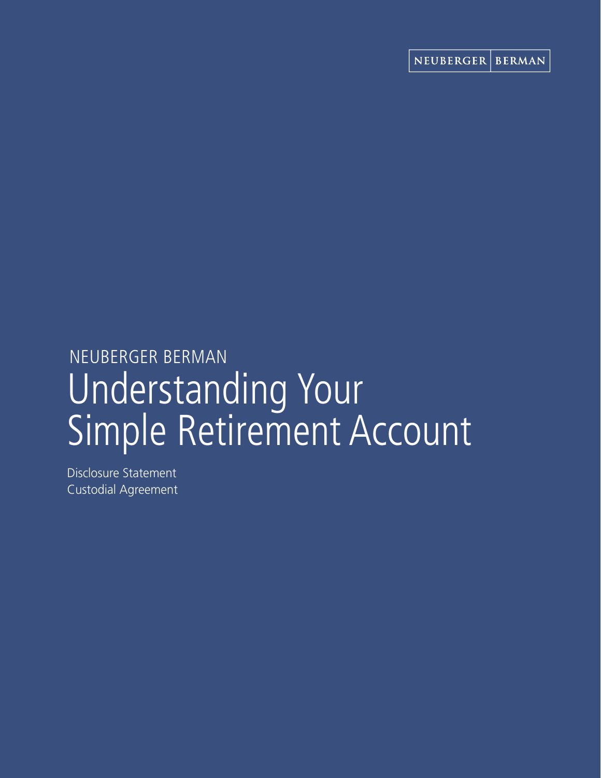# Understanding Your Simple Retirement Account NEUBERGER BERMAN

Disclosure Statement Custodial Agreement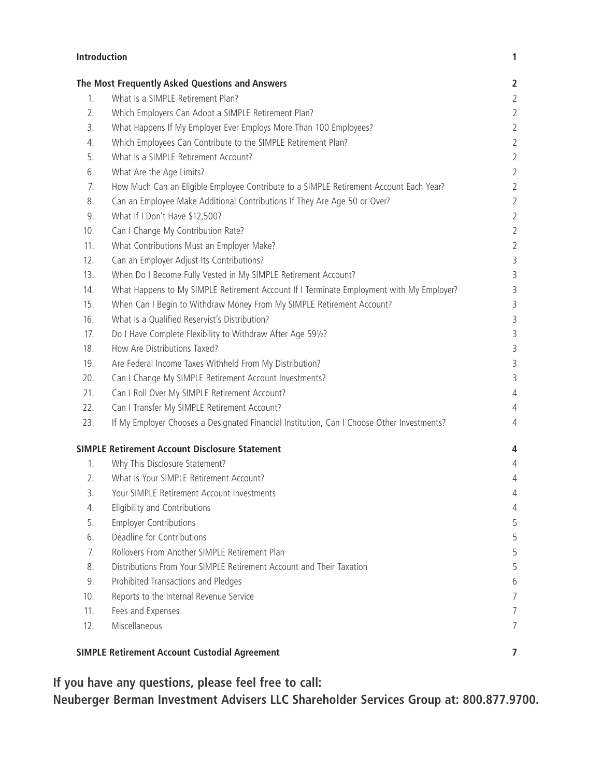| <b>Introduction</b>                                  |                                                                                            | $\mathbf{1}$   |
|------------------------------------------------------|--------------------------------------------------------------------------------------------|----------------|
|                                                      | The Most Frequently Asked Questions and Answers                                            | $\overline{2}$ |
| 1.                                                   | What Is a SIMPLE Retirement Plan?                                                          | $\overline{2}$ |
| 2.                                                   | Which Employers Can Adopt a SIMPLE Retirement Plan?                                        | $\overline{2}$ |
| 3.                                                   | What Happens If My Employer Ever Employs More Than 100 Employees?                          | $\overline{2}$ |
| 4.                                                   | Which Employees Can Contribute to the SIMPLE Retirement Plan?                              | $\overline{2}$ |
| 5.                                                   | What Is a SIMPLE Retirement Account?                                                       | $\overline{2}$ |
| 6.                                                   | What Are the Age Limits?                                                                   | $\overline{2}$ |
| 7.                                                   | How Much Can an Eligible Employee Contribute to a SIMPLE Retirement Account Each Year?     | $\overline{2}$ |
| 8.                                                   | Can an Employee Make Additional Contributions If They Are Age 50 or Over?                  | $\overline{2}$ |
| 9.                                                   | What If I Don't Have \$12,500?                                                             | $\overline{2}$ |
| 10.                                                  | Can I Change My Contribution Rate?                                                         | $\overline{2}$ |
| 11.                                                  | What Contributions Must an Employer Make?                                                  | $\overline{2}$ |
| 12.                                                  | Can an Employer Adjust Its Contributions?                                                  | 3              |
| 13.                                                  | When Do I Become Fully Vested in My SIMPLE Retirement Account?                             | 3              |
| 14.                                                  | What Happens to My SIMPLE Retirement Account If I Terminate Employment with My Employer?   | 3              |
| 15.                                                  | When Can I Begin to Withdraw Money From My SIMPLE Retirement Account?                      | 3              |
| 16.                                                  | What Is a Qualified Reservist's Distribution?                                              | 3              |
| 17.                                                  | Do I Have Complete Flexibility to Withdraw After Age 591/2?                                | 3              |
| 18.                                                  | How Are Distributions Taxed?                                                               | 3              |
| 19.                                                  | Are Federal Income Taxes Withheld From My Distribution?                                    | 3              |
| 20.                                                  | Can I Change My SIMPLE Retirement Account Investments?                                     | 3              |
| 21.                                                  | Can I Roll Over My SIMPLE Retirement Account?                                              | $\overline{4}$ |
| 22.                                                  | Can I Transfer My SIMPLE Retirement Account?                                               | $\overline{4}$ |
| 23.                                                  | If My Employer Chooses a Designated Financial Institution, Can I Choose Other Investments? | $\overline{4}$ |
|                                                      | <b>SIMPLE Retirement Account Disclosure Statement</b>                                      | 4              |
| 1.                                                   | Why This Disclosure Statement?                                                             | 4              |
| 2.                                                   | What Is Your SIMPLE Retirement Account?                                                    | 4              |
| 3.                                                   | Your SIMPLE Retirement Account Investments                                                 | 4              |
| 4.                                                   | Eligibility and Contributions                                                              | 4              |
| 5.                                                   | <b>Employer Contributions</b>                                                              | 5              |
| 6.                                                   | Deadline for Contributions                                                                 | 5              |
| 7.                                                   | Rollovers From Another SIMPLE Retirement Plan                                              | 5              |
| 8.                                                   | Distributions From Your SIMPLE Retirement Account and Their Taxation                       | 5              |
| 9.                                                   | Prohibited Transactions and Pledges                                                        | 6              |
| 10.                                                  | Reports to the Internal Revenue Service                                                    | 7              |
| 11.                                                  | Fees and Expenses                                                                          | 7              |
| 12.                                                  | Miscellaneous                                                                              | 7              |
| <b>SIMPLE Retirement Account Custodial Agreement</b> |                                                                                            | 7              |

**If you have any questions, please feel free to call:** 

**Neuberger Berman Investment Advisers LLC Shareholder Services Group at: 800.877.9700.**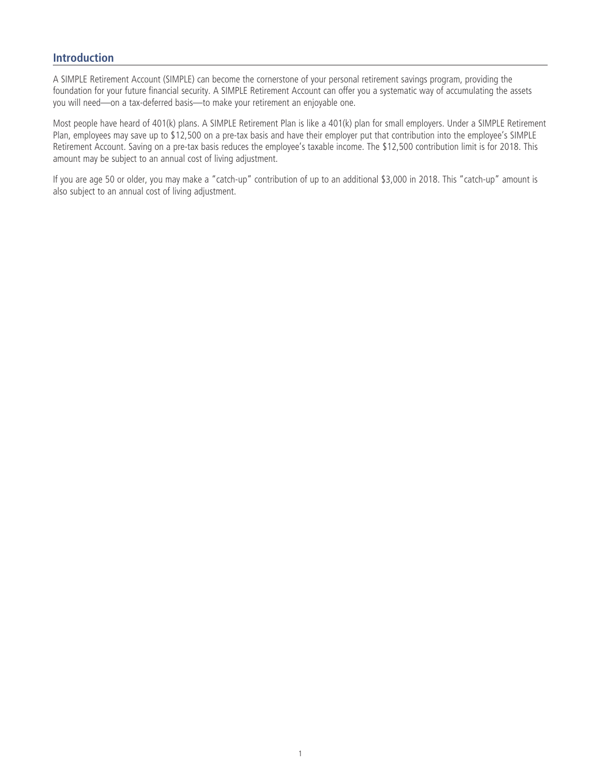## **Introduction**

A SIMPLE Retirement Account (SIMPLE) can become the cornerstone of your personal retirement savings program, providing the foundation for your future financial security. A SIMPLE Retirement Account can offer you a systematic way of accumulating the assets you will need—on a tax-deferred basis—to make your retirement an enjoyable one.

Most people have heard of 401(k) plans. A SIMPLE Retirement Plan is like a 401(k) plan for small employers. Under a SIMPLE Retirement Plan, employees may save up to \$12,500 on a pre-tax basis and have their employer put that contribution into the employee's SIMPLE Retirement Account. Saving on a pre-tax basis reduces the employee's taxable income. The \$12,500 contribution limit is for 2018. This amount may be subject to an annual cost of living adjustment.

If you are age 50 or older, you may make a "catch-up" contribution of up to an additional \$3,000 in 2018. This "catch-up" amount is also subject to an annual cost of living adjustment.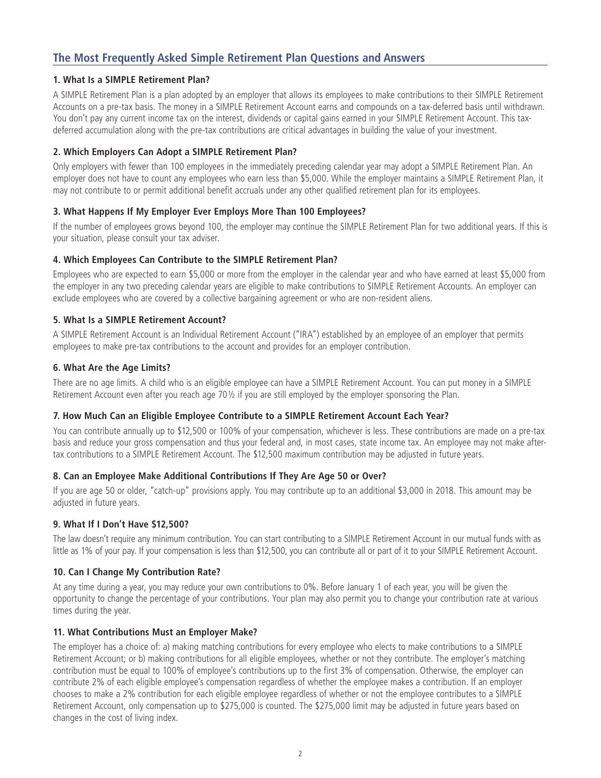# **The Most Frequently Asked Simple Retirement Plan Questions and Answers**

## **1. What Is a SIMPLE Retirement Plan?**

A SIMPLE Retirement Plan is a plan adopted by an employer that allows its employees to make contributions to their SIMPLE Retirement Accounts on a pre-tax basis. The money in a SIMPLE Retirement Account earns and compounds on a tax-deferred basis until withdrawn. You don't pay any current income tax on the interest, dividends or capital gains earned in your SIMPLE Retirement Account. This taxdeferred accumulation along with the pre-tax contributions are critical advantages in building the value of your investment.

## **2. Which Employers Can Adopt a SIMPLE Retirement Plan?**

Only employers with fewer than 100 employees in the immediately preceding calendar year may adopt a SIMPLE Retirement Plan. An employer does not have to count any employees who earn less than \$5,000. While the employer maintains a SIMPLE Retirement Plan, it may not contribute to or permit additional benefit accruals under any other qualified retirement plan for its employees.

## **3. What Happens If My Employer Ever Employs More Than 100 Employees?**

If the number of employees grows beyond 100, the employer may continue the SIMPLE Retirement Plan for two additional years. If this is your situation, please consult your tax adviser.

## **4. Which Employees Can Contribute to the SIMPLE Retirement Plan?**

Employees who are expected to earn \$5,000 or more from the employer in the calendar year and who have earned at least \$5,000 from the employer in any two preceding calendar years are eligible to make contributions to SIMPLE Retirement Accounts. An employer can exclude employees who are covered by a collective bargaining agreement or who are non-resident aliens.

## **5. What Is a SIMPLE Retirement Account?**

A SIMPLE Retirement Account is an Individual Retirement Account ("IRA") established by an employee of an employer that permits employees to make pre-tax contributions to the account and provides for an employer contribution.

## **6. What Are the Age Limits?**

There are no age limits. A child who is an eligible employee can have a SIMPLE Retirement Account. You can put money in a SIMPLE Retirement Account even after you reach age 70½ if you are still employed by the employer sponsoring the Plan.

#### **7. How Much Can an Eligible Employee Contribute to a SIMPLE Retirement Account Each Year?**

You can contribute annually up to \$12,500 or 100% of your compensation, whichever is less. These contributions are made on a pre-tax basis and reduce your gross compensation and thus your federal and, in most cases, state income tax. An employee may not make aftertax contributions to a SIMPLE Retirement Account. The \$12,500 maximum contribution may be adjusted in future years.

## **8. Can an Employee Make Additional Contributions If They Are Age 50 or Over?**

If you are age 50 or older, "catch-up" provisions apply. You may contribute up to an additional \$3,000 in 2018. This amount may be adjusted in future years.

#### **9. What If I Don't Have \$12,500?**

The law doesn't require any minimum contribution. You can start contributing to a SIMPLE Retirement Account in our mutual funds with as little as 1% of your pay. If your compensation is less than \$12,500, you can contribute all or part of it to your SIMPLE Retirement Account.

#### **10. Can I Change My Contribution Rate?**

At any time during a year, you may reduce your own contributions to 0%. Before January 1 of each year, you will be given the opportunity to change the percentage of your contributions. Your plan may also permit you to change your contribution rate at various times during the year.

#### **11. What Contributions Must an Employer Make?**

The employer has a choice of: a) making matching contributions for every employee who elects to make contributions to a SIMPLE Retirement Account; or b) making contributions for all eligible employees, whether or not they contribute. The employer's matching contribution must be equal to 100% of employee's contributions up to the first 3% of compensation. Otherwise, the employer can contribute 2% of each eligible employee's compensation regardless of whether the employee makes a contribution. If an employer chooses to make a 2% contribution for each eligible employee regardless of whether or not the employee contributes to a SIMPLE Retirement Account, only compensation up to \$275,000 is counted. The \$275,000 limit may be adjusted in future years based on changes in the cost of living index.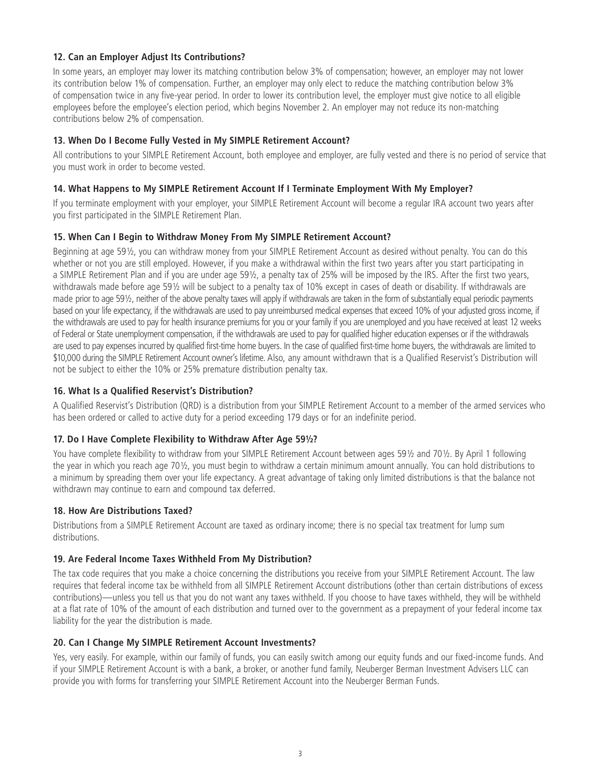## **12. Can an Employer Adjust Its Contributions?**

In some years, an employer may lower its matching contribution below 3% of compensation; however, an employer may not lower its contribution below 1% of compensation. Further, an employer may only elect to reduce the matching contribution below 3% of compensation twice in any five-year period. In order to lower its contribution level, the employer must give notice to all eligible employees before the employee's election period, which begins November 2. An employer may not reduce its non-matching contributions below 2% of compensation.

## **13. When Do I Become Fully Vested in My SIMPLE Retirement Account?**

All contributions to your SIMPLE Retirement Account, both employee and employer, are fully vested and there is no period of service that you must work in order to become vested.

#### **14. What Happens to My SIMPLE Retirement Account If I Terminate Employment With My Employer?**

If you terminate employment with your employer, your SIMPLE Retirement Account will become a regular IRA account two years after you first participated in the SIMPLE Retirement Plan.

## **15. When Can I Begin to Withdraw Money From My SIMPLE Retirement Account?**

Beginning at age 59½, you can withdraw money from your SIMPLE Retirement Account as desired without penalty. You can do this whether or not you are still employed. However, if you make a withdrawal within the first two years after you start participating in a SIMPLE Retirement Plan and if you are under age 59½, a penalty tax of 25% will be imposed by the IRS. After the first two years, withdrawals made before age 59½ will be subject to a penalty tax of 10% except in cases of death or disability. If withdrawals are made prior to age 59½, neither of the above penalty taxes will apply if withdrawals are taken in the form of substantially equal periodic payments based on your life expectancy, if the withdrawals are used to pay unreimbursed medical expenses that exceed 10% of your adjusted gross income, if the withdrawals are used to pay for health insurance premiums for you or your family if you are unemployed and you have received at least 12 weeks of Federal or State unemployment compensation, if the withdrawals are used to pay for qualified higher education expenses or if the withdrawals are used to pay expenses incurred by qualified first-time home buyers. In the case of qualified first-time home buyers, the withdrawals are limited to \$10,000 during the SIMPLE Retirement Account owner's lifetime. Also, any amount withdrawn that is a Qualified Reservist's Distribution will not be subject to either the 10% or 25% premature distribution penalty tax.

#### **16. What Is a Qualified Reservist's Distribution?**

A Qualified Reservist's Distribution (QRD) is a distribution from your SIMPLE Retirement Account to a member of the armed services who has been ordered or called to active duty for a period exceeding 179 days or for an indefinite period.

#### **17. Do I Have Complete Flexibility to Withdraw After Age 59½?**

You have complete flexibility to withdraw from your SIMPLE Retirement Account between ages 59½ and 70½. By April 1 following the year in which you reach age 70½, you must begin to withdraw a certain minimum amount annually. You can hold distributions to a minimum by spreading them over your life expectancy. A great advantage of taking only limited distributions is that the balance not withdrawn may continue to earn and compound tax deferred.

#### **18. How Are Distributions Taxed?**

Distributions from a SIMPLE Retirement Account are taxed as ordinary income; there is no special tax treatment for lump sum distributions.

#### **19. Are Federal Income Taxes Withheld From My Distribution?**

The tax code requires that you make a choice concerning the distributions you receive from your SIMPLE Retirement Account. The law requires that federal income tax be withheld from all SIMPLE Retirement Account distributions (other than certain distributions of excess contributions)—unless you tell us that you do not want any taxes withheld. If you choose to have taxes withheld, they will be withheld at a flat rate of 10% of the amount of each distribution and turned over to the government as a prepayment of your federal income tax liability for the year the distribution is made.

#### **20. Can I Change My SIMPLE Retirement Account Investments?**

Yes, very easily. For example, within our family of funds, you can easily switch among our equity funds and our fixed-income funds. And if your SIMPLE Retirement Account is with a bank, a broker, or another fund family, Neuberger Berman Investment Advisers LLC can provide you with forms for transferring your SIMPLE Retirement Account into the Neuberger Berman Funds.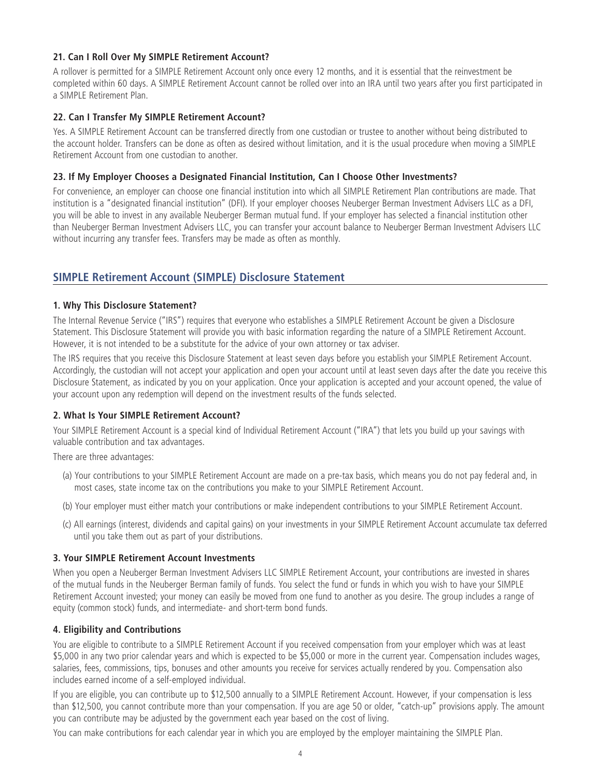## **21. Can I Roll Over My SIMPLE Retirement Account?**

A rollover is permitted for a SIMPLE Retirement Account only once every 12 months, and it is essential that the reinvestment be completed within 60 days. A SIMPLE Retirement Account cannot be rolled over into an IRA until two years after you first participated in a SIMPLE Retirement Plan.

## **22. Can I Transfer My SIMPLE Retirement Account?**

Yes. A SIMPLE Retirement Account can be transferred directly from one custodian or trustee to another without being distributed to the account holder. Transfers can be done as often as desired without limitation, and it is the usual procedure when moving a SIMPLE Retirement Account from one custodian to another.

#### **23. If My Employer Chooses a Designated Financial Institution, Can I Choose Other Investments?**

For convenience, an employer can choose one financial institution into which all SIMPLE Retirement Plan contributions are made. That institution is a "designated financial institution" (DFI). If your employer chooses Neuberger Berman Investment Advisers LLC as a DFI, you will be able to invest in any available Neuberger Berman mutual fund. If your employer has selected a financial institution other than Neuberger Berman Investment Advisers LLC, you can transfer your account balance to Neuberger Berman Investment Advisers LLC without incurring any transfer fees. Transfers may be made as often as monthly.

## **SIMPLE Retirement Account (SIMPLE) Disclosure Statement**

## **1. Why This Disclosure Statement?**

The Internal Revenue Service ("IRS") requires that everyone who establishes a SIMPLE Retirement Account be given a Disclosure Statement. This Disclosure Statement will provide you with basic information regarding the nature of a SIMPLE Retirement Account. However, it is not intended to be a substitute for the advice of your own attorney or tax adviser.

The IRS requires that you receive this Disclosure Statement at least seven days before you establish your SIMPLE Retirement Account. Accordingly, the custodian will not accept your application and open your account until at least seven days after the date you receive this Disclosure Statement, as indicated by you on your application. Once your application is accepted and your account opened, the value of your account upon any redemption will depend on the investment results of the funds selected.

## **2. What Is Your SIMPLE Retirement Account?**

Your SIMPLE Retirement Account is a special kind of Individual Retirement Account ("IRA") that lets you build up your savings with valuable contribution and tax advantages.

There are three advantages:

- (a) Your contributions to your SIMPLE Retirement Account are made on a pre-tax basis, which means you do not pay federal and, in most cases, state income tax on the contributions you make to your SIMPLE Retirement Account.
- (b) Your employer must either match your contributions or make independent contributions to your SIMPLE Retirement Account.
- (c) All earnings (interest, dividends and capital gains) on your investments in your SIMPLE Retirement Account accumulate tax deferred until you take them out as part of your distributions.

#### **3. Your SIMPLE Retirement Account Investments**

When you open a Neuberger Berman Investment Advisers LLC SIMPLE Retirement Account, your contributions are invested in shares of the mutual funds in the Neuberger Berman family of funds. You select the fund or funds in which you wish to have your SIMPLE Retirement Account invested; your money can easily be moved from one fund to another as you desire. The group includes a range of equity (common stock) funds, and intermediate- and short-term bond funds.

## **4. Eligibility and Contributions**

You are eligible to contribute to a SIMPLE Retirement Account if you received compensation from your employer which was at least \$5,000 in any two prior calendar years and which is expected to be \$5,000 or more in the current year. Compensation includes wages, salaries, fees, commissions, tips, bonuses and other amounts you receive for services actually rendered by you. Compensation also includes earned income of a self-employed individual.

If you are eligible, you can contribute up to \$12,500 annually to a SIMPLE Retirement Account. However, if your compensation is less than \$12,500, you cannot contribute more than your compensation. If you are age 50 or older, "catch-up" provisions apply. The amount you can contribute may be adjusted by the government each year based on the cost of living.

You can make contributions for each calendar year in which you are employed by the employer maintaining the SIMPLE Plan.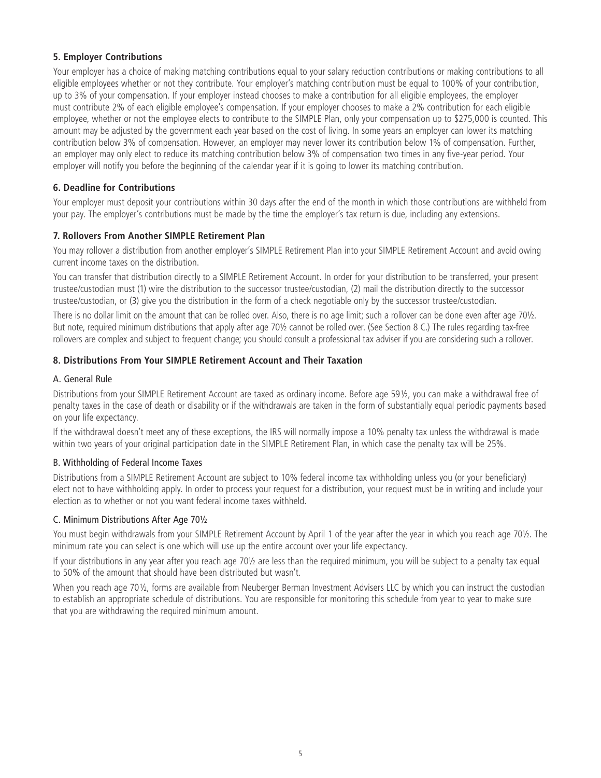## **5. Employer Contributions**

Your employer has a choice of making matching contributions equal to your salary reduction contributions or making contributions to all eligible employees whether or not they contribute. Your employer's matching contribution must be equal to 100% of your contribution, up to 3% of your compensation. If your employer instead chooses to make a contribution for all eligible employees, the employer must contribute 2% of each eligible employee's compensation. If your employer chooses to make a 2% contribution for each eligible employee, whether or not the employee elects to contribute to the SIMPLE Plan, only your compensation up to \$275,000 is counted. This amount may be adjusted by the government each year based on the cost of living. In some years an employer can lower its matching contribution below 3% of compensation. However, an employer may never lower its contribution below 1% of compensation. Further, an employer may only elect to reduce its matching contribution below 3% of compensation two times in any five-year period. Your employer will notify you before the beginning of the calendar year if it is going to lower its matching contribution.

## **6. Deadline for Contributions**

Your employer must deposit your contributions within 30 days after the end of the month in which those contributions are withheld from your pay. The employer's contributions must be made by the time the employer's tax return is due, including any extensions.

## **7. Rollovers From Another SIMPLE Retirement Plan**

You may rollover a distribution from another employer's SIMPLE Retirement Plan into your SIMPLE Retirement Account and avoid owing current income taxes on the distribution.

You can transfer that distribution directly to a SIMPLE Retirement Account. In order for your distribution to be transferred, your present trustee/custodian must (1) wire the distribution to the successor trustee/custodian, (2) mail the distribution directly to the successor trustee/custodian, or (3) give you the distribution in the form of a check negotiable only by the successor trustee/custodian.

There is no dollar limit on the amount that can be rolled over. Also, there is no age limit; such a rollover can be done even after age 701/2. But note, required minimum distributions that apply after age 70½ cannot be rolled over. (See Section 8 C.) The rules regarding tax-free rollovers are complex and subject to frequent change; you should consult a professional tax adviser if you are considering such a rollover.

## **8. Distributions From Your SIMPLE Retirement Account and Their Taxation**

## A. General Rule

Distributions from your SIMPLE Retirement Account are taxed as ordinary income. Before age 59½, you can make a withdrawal free of penalty taxes in the case of death or disability or if the withdrawals are taken in the form of substantially equal periodic payments based on your life expectancy.

If the withdrawal doesn't meet any of these exceptions, the IRS will normally impose a 10% penalty tax unless the withdrawal is made within two years of your original participation date in the SIMPLE Retirement Plan, in which case the penalty tax will be 25%.

## B. Withholding of Federal Income Taxes

Distributions from a SIMPLE Retirement Account are subject to 10% federal income tax withholding unless you (or your beneficiary) elect not to have withholding apply. In order to process your request for a distribution, your request must be in writing and include your election as to whether or not you want federal income taxes withheld.

## C. Minimum Distributions After Age 70½

You must begin withdrawals from your SIMPLE Retirement Account by April 1 of the year after the year in which you reach age 701/2. The minimum rate you can select is one which will use up the entire account over your life expectancy.

If your distributions in any year after you reach age 70½ are less than the required minimum, you will be subject to a penalty tax equal to 50% of the amount that should have been distributed but wasn't.

When you reach age 70½, forms are available from Neuberger Berman Investment Advisers LLC by which you can instruct the custodian to establish an appropriate schedule of distributions. You are responsible for monitoring this schedule from year to year to make sure that you are withdrawing the required minimum amount.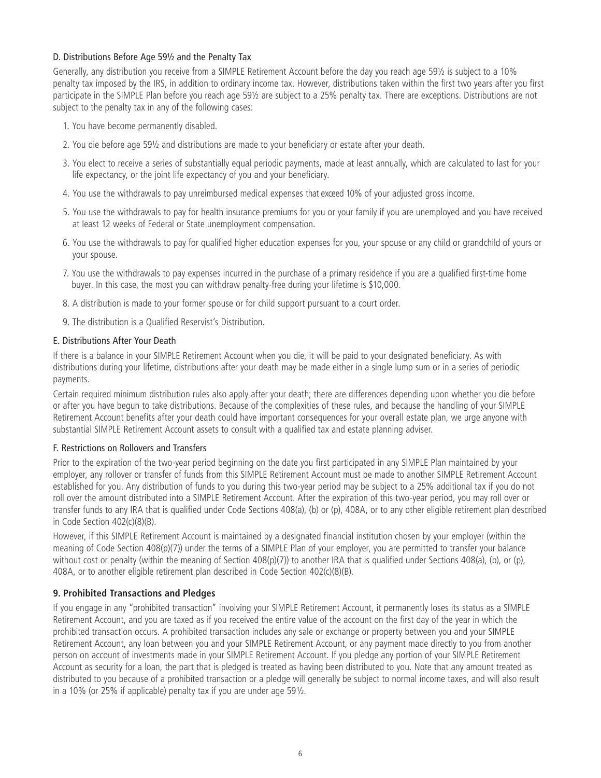## D. Distributions Before Age 59½ and the Penalty Tax

Generally, any distribution you receive from a SIMPLE Retirement Account before the day you reach age 59½ is subject to a 10% penalty tax imposed by the IRS, in addition to ordinary income tax. However, distributions taken within the first two years after you first participate in the SIMPLE Plan before you reach age 59½ are subject to a 25% penalty tax. There are exceptions. Distributions are not subject to the penalty tax in any of the following cases:

- 1. You have become permanently disabled.
- 2. You die before age 59½ and distributions are made to your beneficiary or estate after your death.
- 3. You elect to receive a series of substantially equal periodic payments, made at least annually, which are calculated to last for your life expectancy, or the joint life expectancy of you and your beneficiary.
- 4. You use the withdrawals to pay unreimbursed medical expenses that exceed 10% of your adjusted gross income.
- 5. You use the withdrawals to pay for health insurance premiums for you or your family if you are unemployed and you have received at least 12 weeks of Federal or State unemployment compensation.
- 6. You use the withdrawals to pay for qualified higher education expenses for you, your spouse or any child or grandchild of yours or your spouse.
- 7. You use the withdrawals to pay expenses incurred in the purchase of a primary residence if you are a qualified first-time home buyer. In this case, the most you can withdraw penalty-free during your lifetime is \$10,000.
- 8. A distribution is made to your former spouse or for child support pursuant to a court order.
- 9. The distribution is a Qualified Reservist's Distribution.

## E. Distributions After Your Death

If there is a balance in your SIMPLE Retirement Account when you die, it will be paid to your designated beneficiary. As with distributions during your lifetime, distributions after your death may be made either in a single lump sum or in a series of periodic payments.

Certain required minimum distribution rules also apply after your death; there are differences depending upon whether you die before or after you have begun to take distributions. Because of the complexities of these rules, and because the handling of your SIMPLE Retirement Account benefits after your death could have important consequences for your overall estate plan, we urge anyone with substantial SIMPLE Retirement Account assets to consult with a qualified tax and estate planning adviser.

## F. Restrictions on Rollovers and Transfers

Prior to the expiration of the two-year period beginning on the date you first participated in any SIMPLE Plan maintained by your employer, any rollover or transfer of funds from this SIMPLE Retirement Account must be made to another SIMPLE Retirement Account established for you. Any distribution of funds to you during this two-year period may be subject to a 25% additional tax if you do not roll over the amount distributed into a SIMPLE Retirement Account. After the expiration of this two-year period, you may roll over or transfer funds to any IRA that is qualified under Code Sections 408(a), (b) or (p), 408A, or to any other eligible retirement plan described in Code Section 402(c)(8)(B).

However, if this SIMPLE Retirement Account is maintained by a designated financial institution chosen by your employer (within the meaning of Code Section 408(p)(7)) under the terms of a SIMPLE Plan of your employer, you are permitted to transfer your balance without cost or penalty (within the meaning of Section 408(p)(7)) to another IRA that is qualified under Sections 408(a), (b), or (p), 408A, or to another eligible retirement plan described in Code Section 402(c)(8)(B).

## **9. Prohibited Transactions and Pledges**

If you engage in any "prohibited transaction" involving your SIMPLE Retirement Account, it permanently loses its status as a SIMPLE Retirement Account, and you are taxed as if you received the entire value of the account on the first day of the year in which the prohibited transaction occurs. A prohibited transaction includes any sale or exchange or property between you and your SIMPLE Retirement Account, any loan between you and your SIMPLE Retirement Account, or any payment made directly to you from another person on account of investments made in your SIMPLE Retirement Account. If you pledge any portion of your SIMPLE Retirement Account as security for a loan, the part that is pledged is treated as having been distributed to you. Note that any amount treated as distributed to you because of a prohibited transaction or a pledge will generally be subject to normal income taxes, and will also result in a 10% (or 25% if applicable) penalty tax if you are under age 59½.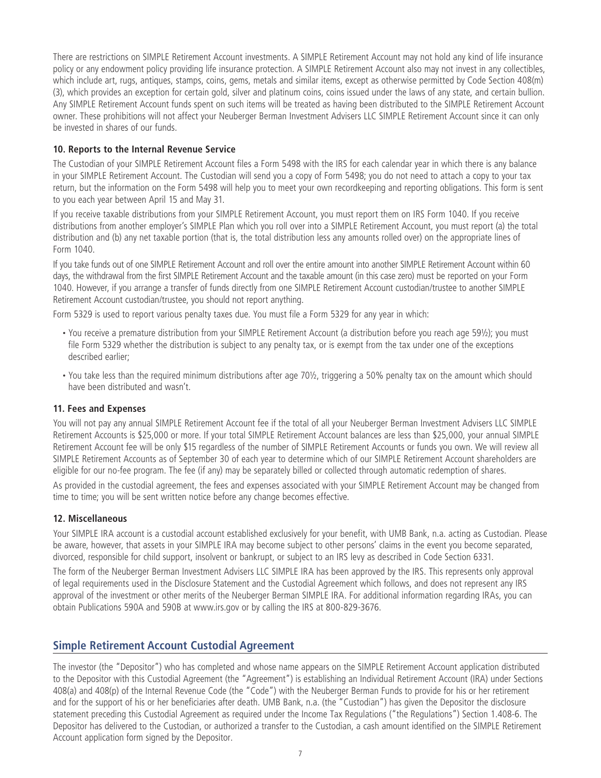There are restrictions on SIMPLE Retirement Account investments. A SIMPLE Retirement Account may not hold any kind of life insurance policy or any endowment policy providing life insurance protection. A SIMPLE Retirement Account also may not invest in any collectibles, which include art, rugs, antiques, stamps, coins, gems, metals and similar items, except as otherwise permitted by Code Section 408(m) (3), which provides an exception for certain gold, silver and platinum coins, coins issued under the laws of any state, and certain bullion. Any SIMPLE Retirement Account funds spent on such items will be treated as having been distributed to the SIMPLE Retirement Account owner. These prohibitions will not affect your Neuberger Berman Investment Advisers LLC SIMPLE Retirement Account since it can only be invested in shares of our funds.

## **10. Reports to the Internal Revenue Service**

The Custodian of your SIMPLE Retirement Account files a Form 5498 with the IRS for each calendar year in which there is any balance in your SIMPLE Retirement Account. The Custodian will send you a copy of Form 5498; you do not need to attach a copy to your tax return, but the information on the Form 5498 will help you to meet your own recordkeeping and reporting obligations. This form is sent to you each year between April 15 and May 31.

If you receive taxable distributions from your SIMPLE Retirement Account, you must report them on IRS Form 1040. If you receive distributions from another employer's SIMPLE Plan which you roll over into a SIMPLE Retirement Account, you must report (a) the total distribution and (b) any net taxable portion (that is, the total distribution less any amounts rolled over) on the appropriate lines of Form 1040.

If you take funds out of one SIMPLE Retirement Account and roll over the entire amount into another SIMPLE Retirement Account within 60 days, the withdrawal from the first SIMPLE Retirement Account and the taxable amount (in this case zero) must be reported on your Form 1040. However, if you arrange a transfer of funds directly from one SIMPLE Retirement Account custodian/trustee to another SIMPLE Retirement Account custodian/trustee, you should not report anything.

Form 5329 is used to report various penalty taxes due. You must file a Form 5329 for any year in which:

- You receive a premature distribution from your SIMPLE Retirement Account (a distribution before you reach age 59½); you must file Form 5329 whether the distribution is subject to any penalty tax, or is exempt from the tax under one of the exceptions described earlier;
- You take less than the required minimum distributions after age 70½, triggering a 50% penalty tax on the amount which should have been distributed and wasn't.

#### **11. Fees and Expenses**

You will not pay any annual SIMPLE Retirement Account fee if the total of all your Neuberger Berman Investment Advisers LLC SIMPLE Retirement Accounts is \$25,000 or more. If your total SIMPLE Retirement Account balances are less than \$25,000, your annual SIMPLE Retirement Account fee will be only \$15 regardless of the number of SIMPLE Retirement Accounts or funds you own. We will review all SIMPLE Retirement Accounts as of September 30 of each year to determine which of our SIMPLE Retirement Account shareholders are eligible for our no-fee program. The fee (if any) may be separately billed or collected through automatic redemption of shares.

As provided in the custodial agreement, the fees and expenses associated with your SIMPLE Retirement Account may be changed from time to time; you will be sent written notice before any change becomes effective.

#### **12. Miscellaneous**

Your SIMPLE IRA account is a custodial account established exclusively for your benefit, with UMB Bank, n.a. acting as Custodian. Please be aware, however, that assets in your SIMPLE IRA may become subject to other persons' claims in the event you become separated, divorced, responsible for child support, insolvent or bankrupt, or subject to an IRS levy as described in Code Section 6331.

The form of the Neuberger Berman Investment Advisers LLC SIMPLE IRA has been approved by the IRS. This represents only approval of legal requirements used in the Disclosure Statement and the Custodial Agreement which follows, and does not represent any IRS approval of the investment or other merits of the Neuberger Berman SIMPLE IRA. For additional information regarding IRAs, you can obtain Publications 590A and 590B at www.irs.gov or by calling the IRS at 800-829-3676.

## **Simple Retirement Account Custodial Agreement**

The investor (the "Depositor") who has completed and whose name appears on the SIMPLE Retirement Account application distributed to the Depositor with this Custodial Agreement (the "Agreement") is establishing an Individual Retirement Account (IRA) under Sections 408(a) and 408(p) of the Internal Revenue Code (the "Code") with the Neuberger Berman Funds to provide for his or her retirement and for the support of his or her beneficiaries after death. UMB Bank, n.a. (the "Custodian") has given the Depositor the disclosure statement preceding this Custodial Agreement as required under the Income Tax Regulations ("the Regulations") Section 1.408-6. The Depositor has delivered to the Custodian, or authorized a transfer to the Custodian, a cash amount identified on the SIMPLE Retirement Account application form signed by the Depositor.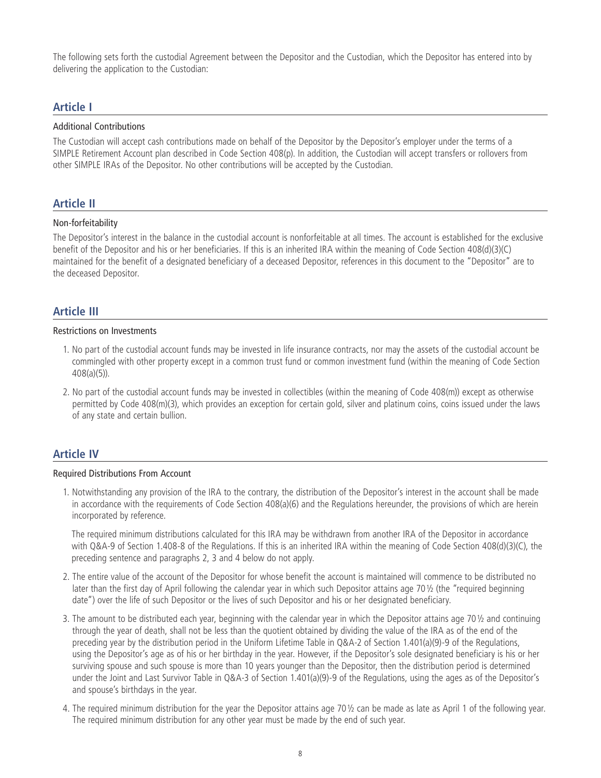The following sets forth the custodial Agreement between the Depositor and the Custodian, which the Depositor has entered into by delivering the application to the Custodian:

## **Article I**

#### Additional Contributions

The Custodian will accept cash contributions made on behalf of the Depositor by the Depositor's employer under the terms of a SIMPLE Retirement Account plan described in Code Section 408(p). In addition, the Custodian will accept transfers or rollovers from other SIMPLE IRAs of the Depositor. No other contributions will be accepted by the Custodian.

## **Article II**

#### Non-forfeitability

The Depositor's interest in the balance in the custodial account is nonforfeitable at all times. The account is established for the exclusive benefit of the Depositor and his or her beneficiaries. If this is an inherited IRA within the meaning of Code Section 408(d)(3)(C) maintained for the benefit of a designated beneficiary of a deceased Depositor, references in this document to the "Depositor" are to the deceased Depositor.

## **Article III**

#### Restrictions on Investments

- 1. No part of the custodial account funds may be invested in life insurance contracts, nor may the assets of the custodial account be commingled with other property except in a common trust fund or common investment fund (within the meaning of Code Section 408(a)(5)).
- 2. No part of the custodial account funds may be invested in collectibles (within the meaning of Code 408(m)) except as otherwise permitted by Code 408(m)(3), which provides an exception for certain gold, silver and platinum coins, coins issued under the laws of any state and certain bullion.

## **Article IV**

#### Required Distributions From Account

1. Notwithstanding any provision of the IRA to the contrary, the distribution of the Depositor's interest in the account shall be made in accordance with the requirements of Code Section 408(a)(6) and the Regulations hereunder, the provisions of which are herein incorporated by reference.

 The required minimum distributions calculated for this IRA may be withdrawn from another IRA of the Depositor in accordance with Q&A-9 of Section 1.408-8 of the Regulations. If this is an inherited IRA within the meaning of Code Section 408(d)(3)(C), the preceding sentence and paragraphs 2, 3 and 4 below do not apply.

- 2. The entire value of the account of the Depositor for whose benefit the account is maintained will commence to be distributed no later than the first day of April following the calendar year in which such Depositor attains age 70½ (the "required beginning date") over the life of such Depositor or the lives of such Depositor and his or her designated beneficiary.
- 3. The amount to be distributed each year, beginning with the calendar year in which the Depositor attains age 70 $\frac{1}{2}$  and continuing through the year of death, shall not be less than the quotient obtained by dividing the value of the IRA as of the end of the preceding year by the distribution period in the Uniform Lifetime Table in Q&A-2 of Section 1.401(a)(9)-9 of the Regulations, using the Depositor's age as of his or her birthday in the year. However, if the Depositor's sole designated beneficiary is his or her surviving spouse and such spouse is more than 10 years younger than the Depositor, then the distribution period is determined under the Joint and Last Survivor Table in Q&A-3 of Section 1.401(a)(9)-9 of the Regulations, using the ages as of the Depositor's and spouse's birthdays in the year.
- 4. The required minimum distribution for the year the Depositor attains age 70½ can be made as late as April 1 of the following year. The required minimum distribution for any other year must be made by the end of such year.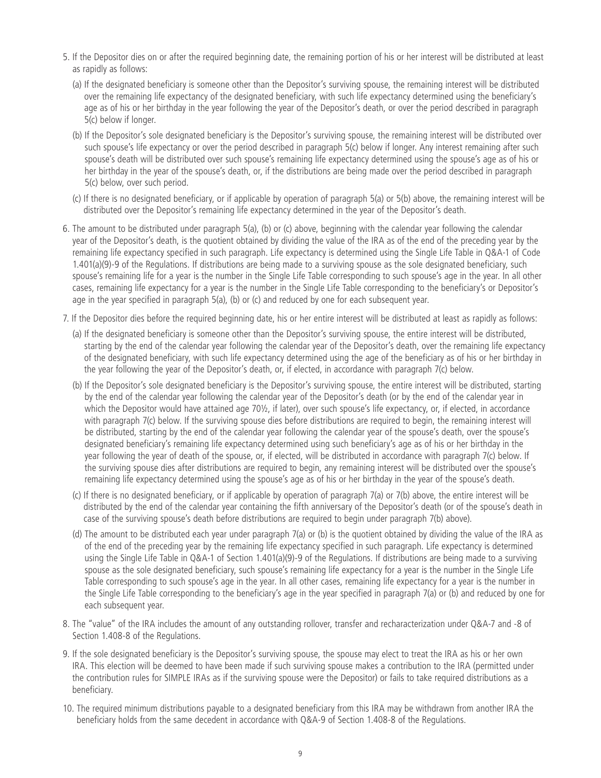- 5. If the Depositor dies on or after the required beginning date, the remaining portion of his or her interest will be distributed at least as rapidly as follows:
	- (a) If the designated beneficiary is someone other than the Depositor's surviving spouse, the remaining interest will be distributed over the remaining life expectancy of the designated beneficiary, with such life expectancy determined using the beneficiary's age as of his or her birthday in the year following the year of the Depositor's death, or over the period described in paragraph 5(c) below if longer.
	- (b) If the Depositor's sole designated beneficiary is the Depositor's surviving spouse, the remaining interest will be distributed over such spouse's life expectancy or over the period described in paragraph 5(c) below if longer. Any interest remaining after such spouse's death will be distributed over such spouse's remaining life expectancy determined using the spouse's age as of his or her birthday in the year of the spouse's death, or, if the distributions are being made over the period described in paragraph 5(c) below, over such period.
	- (c) If there is no designated beneficiary, or if applicable by operation of paragraph 5(a) or 5(b) above, the remaining interest will be distributed over the Depositor's remaining life expectancy determined in the year of the Depositor's death.
- 6. The amount to be distributed under paragraph 5(a), (b) or (c) above, beginning with the calendar year following the calendar year of the Depositor's death, is the quotient obtained by dividing the value of the IRA as of the end of the preceding year by the remaining life expectancy specified in such paragraph. Life expectancy is determined using the Single Life Table in Q&A-1 of Code 1.401(a)(9)-9 of the Regulations. If distributions are being made to a surviving spouse as the sole designated beneficiary, such spouse's remaining life for a year is the number in the Single Life Table corresponding to such spouse's age in the year. In all other cases, remaining life expectancy for a year is the number in the Single Life Table corresponding to the beneficiary's or Depositor's age in the year specified in paragraph 5(a), (b) or (c) and reduced by one for each subsequent year.
- 7. If the Depositor dies before the required beginning date, his or her entire interest will be distributed at least as rapidly as follows:
	- (a) If the designated beneficiary is someone other than the Depositor's surviving spouse, the entire interest will be distributed, starting by the end of the calendar year following the calendar year of the Depositor's death, over the remaining life expectancy of the designated beneficiary, with such life expectancy determined using the age of the beneficiary as of his or her birthday in the year following the year of the Depositor's death, or, if elected, in accordance with paragraph 7(c) below.
	- (b) If the Depositor's sole designated beneficiary is the Depositor's surviving spouse, the entire interest will be distributed, starting by the end of the calendar year following the calendar year of the Depositor's death (or by the end of the calendar year in which the Depositor would have attained age 70½, if later), over such spouse's life expectancy, or, if elected, in accordance with paragraph 7(c) below. If the surviving spouse dies before distributions are required to begin, the remaining interest will be distributed, starting by the end of the calendar year following the calendar year of the spouse's death, over the spouse's designated beneficiary's remaining life expectancy determined using such beneficiary's age as of his or her birthday in the year following the year of death of the spouse, or, if elected, will be distributed in accordance with paragraph 7(c) below. If the surviving spouse dies after distributions are required to begin, any remaining interest will be distributed over the spouse's remaining life expectancy determined using the spouse's age as of his or her birthday in the year of the spouse's death.
	- (c) If there is no designated beneficiary, or if applicable by operation of paragraph 7(a) or 7(b) above, the entire interest will be distributed by the end of the calendar year containing the fifth anniversary of the Depositor's death (or of the spouse's death in case of the surviving spouse's death before distributions are required to begin under paragraph 7(b) above).
	- (d) The amount to be distributed each year under paragraph 7(a) or (b) is the quotient obtained by dividing the value of the IRA as of the end of the preceding year by the remaining life expectancy specified in such paragraph. Life expectancy is determined using the Single Life Table in Q&A-1 of Section 1.401(a)(9)-9 of the Regulations. If distributions are being made to a surviving spouse as the sole designated beneficiary, such spouse's remaining life expectancy for a year is the number in the Single Life Table corresponding to such spouse's age in the year. In all other cases, remaining life expectancy for a year is the number in the Single Life Table corresponding to the beneficiary's age in the year specified in paragraph 7(a) or (b) and reduced by one for each subsequent year.
- 8. The "value" of the IRA includes the amount of any outstanding rollover, transfer and recharacterization under Q&A-7 and -8 of Section 1.408-8 of the Regulations.
- 9. If the sole designated beneficiary is the Depositor's surviving spouse, the spouse may elect to treat the IRA as his or her own IRA. This election will be deemed to have been made if such surviving spouse makes a contribution to the IRA (permitted under the contribution rules for SIMPLE IRAs as if the surviving spouse were the Depositor) or fails to take required distributions as a beneficiary.
- 10. The required minimum distributions payable to a designated beneficiary from this IRA may be withdrawn from another IRA the beneficiary holds from the same decedent in accordance with Q&A-9 of Section 1.408-8 of the Regulations.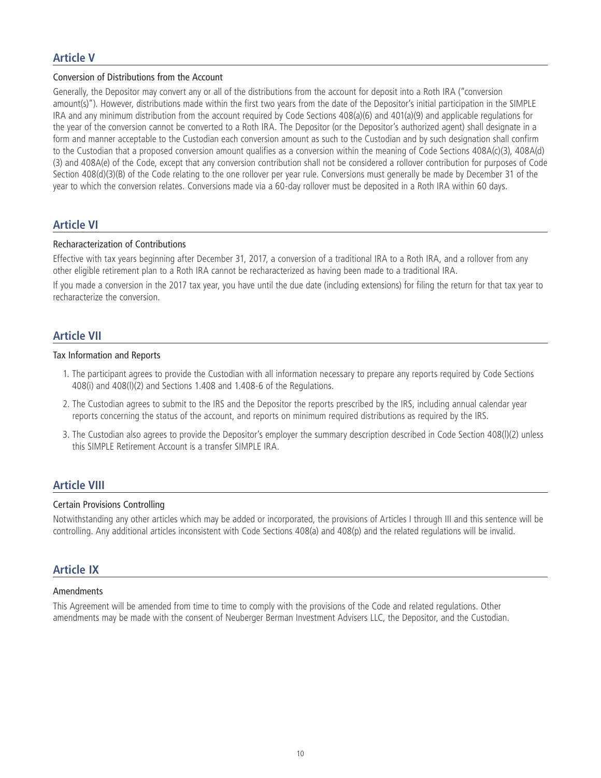## **Article V**

#### Conversion of Distributions from the Account

Generally, the Depositor may convert any or all of the distributions from the account for deposit into a Roth IRA ("conversion amount(s)"). However, distributions made within the first two years from the date of the Depositor's initial participation in the SIMPLE IRA and any minimum distribution from the account required by Code Sections 408(a)(6) and 401(a)(9) and applicable regulations for the year of the conversion cannot be converted to a Roth IRA. The Depositor (or the Depositor's authorized agent) shall designate in a form and manner acceptable to the Custodian each conversion amount as such to the Custodian and by such designation shall confirm to the Custodian that a proposed conversion amount qualifies as a conversion within the meaning of Code Sections 408A(c)(3), 408A(d) (3) and 408A(e) of the Code, except that any conversion contribution shall not be considered a rollover contribution for purposes of Code Section 408(d)(3)(B) of the Code relating to the one rollover per year rule. Conversions must generally be made by December 31 of the year to which the conversion relates. Conversions made via a 60-day rollover must be deposited in a Roth IRA within 60 days.

## **Article VI**

#### Recharacterization of Contributions

Effective with tax years beginning after December 31, 2017, a conversion of a traditional IRA to a Roth IRA, and a rollover from any other eligible retirement plan to a Roth IRA cannot be recharacterized as having been made to a traditional IRA.

If you made a conversion in the 2017 tax year, you have until the due date (including extensions) for filing the return for that tax year to recharacterize the conversion.

## **Article VII**

#### Tax Information and Reports

- 1. The participant agrees to provide the Custodian with all information necessary to prepare any reports required by Code Sections 408(i) and 408(l)(2) and Sections 1.408 and 1.408-6 of the Regulations.
- 2. The Custodian agrees to submit to the IRS and the Depositor the reports prescribed by the IRS, including annual calendar year reports concerning the status of the account, and reports on minimum required distributions as required by the IRS.
- 3. The Custodian also agrees to provide the Depositor's employer the summary description described in Code Section 408(l)(2) unless this SIMPLE Retirement Account is a transfer SIMPLE IRA.

## **Article VIII**

#### Certain Provisions Controlling

Notwithstanding any other articles which may be added or incorporated, the provisions of Articles I through III and this sentence will be controlling. Any additional articles inconsistent with Code Sections 408(a) and 408(p) and the related regulations will be invalid.

## **Article IX**

#### Amendments

This Agreement will be amended from time to time to comply with the provisions of the Code and related regulations. Other amendments may be made with the consent of Neuberger Berman Investment Advisers LLC, the Depositor, and the Custodian.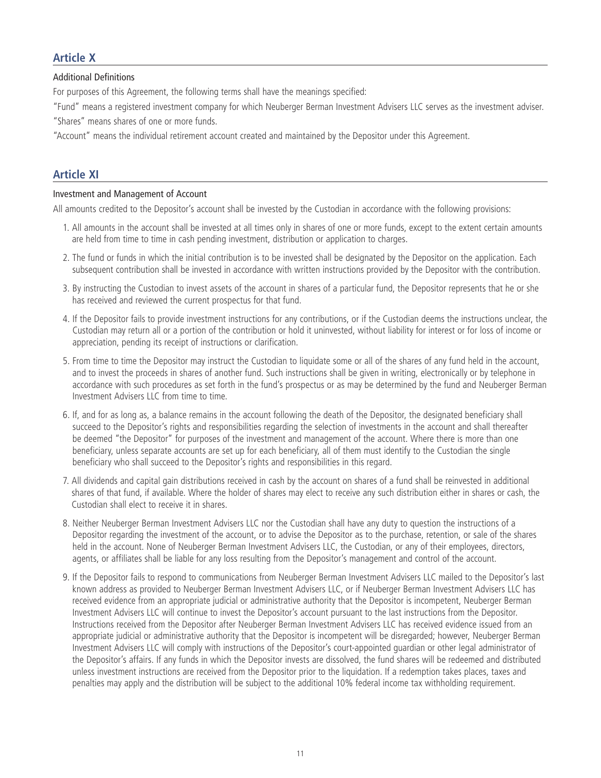## **Article X**

Additional Definitions

For purposes of this Agreement, the following terms shall have the meanings specified:

"Fund" means a registered investment company for which Neuberger Berman Investment Advisers LLC serves as the investment adviser. "Shares" means shares of one or more funds.

"Account" means the individual retirement account created and maintained by the Depositor under this Agreement.

## **Article XI**

#### Investment and Management of Account

All amounts credited to the Depositor's account shall be invested by the Custodian in accordance with the following provisions:

- 1. All amounts in the account shall be invested at all times only in shares of one or more funds, except to the extent certain amounts are held from time to time in cash pending investment, distribution or application to charges.
- 2. The fund or funds in which the initial contribution is to be invested shall be designated by the Depositor on the application. Each subsequent contribution shall be invested in accordance with written instructions provided by the Depositor with the contribution.
- 3. By instructing the Custodian to invest assets of the account in shares of a particular fund, the Depositor represents that he or she has received and reviewed the current prospectus for that fund.
- 4. If the Depositor fails to provide investment instructions for any contributions, or if the Custodian deems the instructions unclear, the Custodian may return all or a portion of the contribution or hold it uninvested, without liability for interest or for loss of income or appreciation, pending its receipt of instructions or clarification.
- 5. From time to time the Depositor may instruct the Custodian to liquidate some or all of the shares of any fund held in the account, and to invest the proceeds in shares of another fund. Such instructions shall be given in writing, electronically or by telephone in accordance with such procedures as set forth in the fund's prospectus or as may be determined by the fund and Neuberger Berman Investment Advisers LLC from time to time.
- 6. If, and for as long as, a balance remains in the account following the death of the Depositor, the designated beneficiary shall succeed to the Depositor's rights and responsibilities regarding the selection of investments in the account and shall thereafter be deemed "the Depositor" for purposes of the investment and management of the account. Where there is more than one beneficiary, unless separate accounts are set up for each beneficiary, all of them must identify to the Custodian the single beneficiary who shall succeed to the Depositor's rights and responsibilities in this regard.
- 7. All dividends and capital gain distributions received in cash by the account on shares of a fund shall be reinvested in additional shares of that fund, if available. Where the holder of shares may elect to receive any such distribution either in shares or cash, the Custodian shall elect to receive it in shares.
- 8. Neither Neuberger Berman Investment Advisers LLC nor the Custodian shall have any duty to question the instructions of a Depositor regarding the investment of the account, or to advise the Depositor as to the purchase, retention, or sale of the shares held in the account. None of Neuberger Berman Investment Advisers LLC, the Custodian, or any of their employees, directors, agents, or affiliates shall be liable for any loss resulting from the Depositor's management and control of the account.
- 9. If the Depositor fails to respond to communications from Neuberger Berman Investment Advisers LLC mailed to the Depositor's last known address as provided to Neuberger Berman Investment Advisers LLC, or if Neuberger Berman Investment Advisers LLC has received evidence from an appropriate judicial or administrative authority that the Depositor is incompetent, Neuberger Berman Investment Advisers LLC will continue to invest the Depositor's account pursuant to the last instructions from the Depositor. Instructions received from the Depositor after Neuberger Berman Investment Advisers LLC has received evidence issued from an appropriate judicial or administrative authority that the Depositor is incompetent will be disregarded; however, Neuberger Berman Investment Advisers LLC will comply with instructions of the Depositor's court-appointed guardian or other legal administrator of the Depositor's affairs. If any funds in which the Depositor invests are dissolved, the fund shares will be redeemed and distributed unless investment instructions are received from the Depositor prior to the liquidation. If a redemption takes places, taxes and penalties may apply and the distribution will be subject to the additional 10% federal income tax withholding requirement.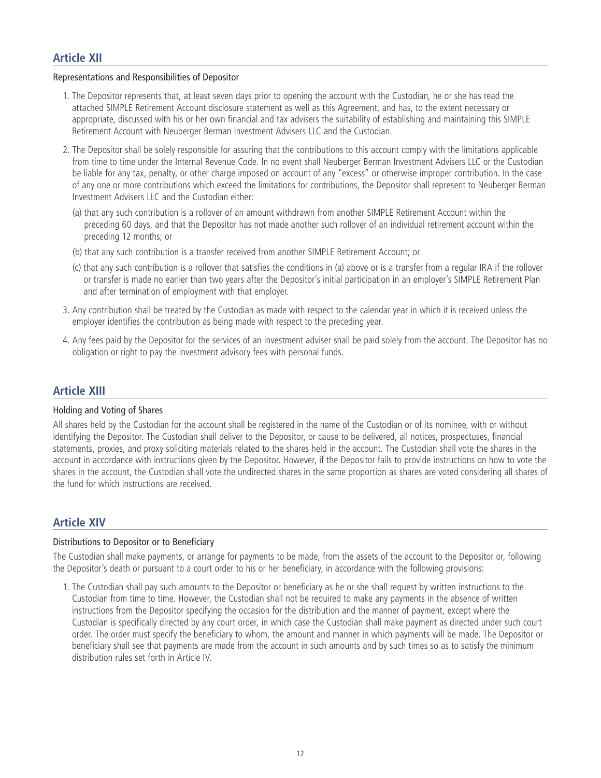#### Representations and Responsibilities of Depositor

- 1. The Depositor represents that, at least seven days prior to opening the account with the Custodian, he or she has read the attached SIMPLE Retirement Account disclosure statement as well as this Agreement, and has, to the extent necessary or appropriate, discussed with his or her own financial and tax advisers the suitability of establishing and maintaining this SIMPLE Retirement Account with Neuberger Berman Investment Advisers LLC and the Custodian.
- 2. The Depositor shall be solely responsible for assuring that the contributions to this account comply with the limitations applicable from time to time under the Internal Revenue Code. In no event shall Neuberger Berman Investment Advisers LLC or the Custodian be liable for any tax, penalty, or other charge imposed on account of any "excess" or otherwise improper contribution. In the case of any one or more contributions which exceed the limitations for contributions, the Depositor shall represent to Neuberger Berman Investment Advisers LLC and the Custodian either:
	- (a) that any such contribution is a rollover of an amount withdrawn from another SIMPLE Retirement Account within the preceding 60 days, and that the Depositor has not made another such rollover of an individual retirement account within the preceding 12 months; or
	- (b) that any such contribution is a transfer received from another SIMPLE Retirement Account; or
	- (c) that any such contribution is a rollover that satisfies the conditions in (a) above or is a transfer from a regular IRA if the rollover or transfer is made no earlier than two years after the Depositor's initial participation in an employer's SIMPLE Retirement Plan and after termination of employment with that employer.
- 3. Any contribution shall be treated by the Custodian as made with respect to the calendar year in which it is received unless the employer identifies the contribution as being made with respect to the preceding year.
- 4. Any fees paid by the Depositor for the services of an investment adviser shall be paid solely from the account. The Depositor has no obligation or right to pay the investment advisory fees with personal funds.

## **Article XIII**

#### Holding and Voting of Shares

All shares held by the Custodian for the account shall be registered in the name of the Custodian or of its nominee, with or without identifying the Depositor. The Custodian shall deliver to the Depositor, or cause to be delivered, all notices, prospectuses, financial statements, proxies, and proxy soliciting materials related to the shares held in the account. The Custodian shall vote the shares in the account in accordance with instructions given by the Depositor. However, if the Depositor fails to provide instructions on how to vote the shares in the account, the Custodian shall vote the undirected shares in the same proportion as shares are voted considering all shares of the fund for which instructions are received.

## **Article XIV**

#### Distributions to Depositor or to Beneficiary

The Custodian shall make payments, or arrange for payments to be made, from the assets of the account to the Depositor or, following the Depositor's death or pursuant to a court order to his or her beneficiary, in accordance with the following provisions:

1. The Custodian shall pay such amounts to the Depositor or beneficiary as he or she shall request by written instructions to the Custodian from time to time. However, the Custodian shall not be required to make any payments in the absence of written instructions from the Depositor specifying the occasion for the distribution and the manner of payment, except where the Custodian is specifically directed by any court order, in which case the Custodian shall make payment as directed under such court order. The order must specify the beneficiary to whom, the amount and manner in which payments will be made. The Depositor or beneficiary shall see that payments are made from the account in such amounts and by such times so as to satisfy the minimum distribution rules set forth in Article IV.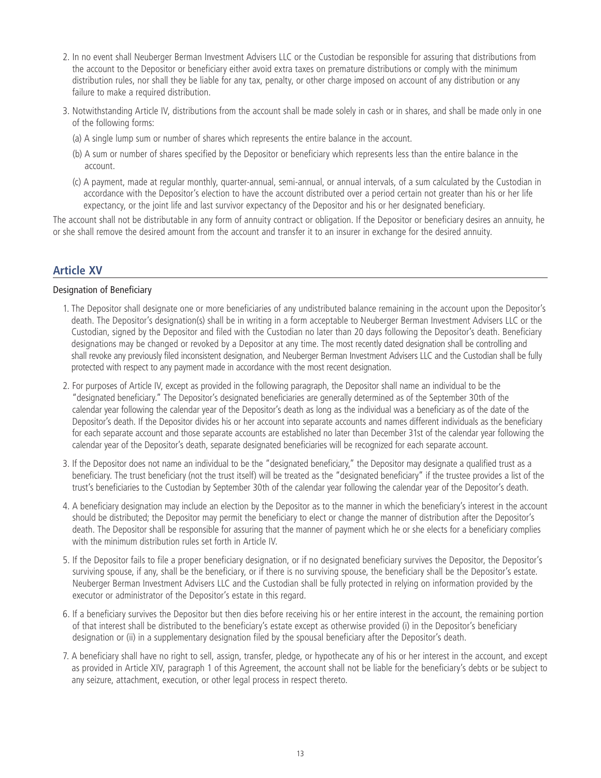- 2. In no event shall Neuberger Berman Investment Advisers LLC or the Custodian be responsible for assuring that distributions from the account to the Depositor or beneficiary either avoid extra taxes on premature distributions or comply with the minimum distribution rules, nor shall they be liable for any tax, penalty, or other charge imposed on account of any distribution or any failure to make a required distribution.
- 3. Notwithstanding Article IV, distributions from the account shall be made solely in cash or in shares, and shall be made only in one of the following forms:
	- (a) A single lump sum or number of shares which represents the entire balance in the account.
	- (b) A sum or number of shares specified by the Depositor or beneficiary which represents less than the entire balance in the account.
	- (c) A payment, made at regular monthly, quarter-annual, semi-annual, or annual intervals, of a sum calculated by the Custodian in accordance with the Depositor's election to have the account distributed over a period certain not greater than his or her life expectancy, or the joint life and last survivor expectancy of the Depositor and his or her designated beneficiary.

The account shall not be distributable in any form of annuity contract or obligation. If the Depositor or beneficiary desires an annuity, he or she shall remove the desired amount from the account and transfer it to an insurer in exchange for the desired annuity.

# **Article XV**

## Designation of Beneficiary

- 1. The Depositor shall designate one or more beneficiaries of any undistributed balance remaining in the account upon the Depositor's death. The Depositor's designation(s) shall be in writing in a form acceptable to Neuberger Berman Investment Advisers LLC or the Custodian, signed by the Depositor and filed with the Custodian no later than 20 days following the Depositor's death. Beneficiary designations may be changed or revoked by a Depositor at any time. The most recently dated designation shall be controlling and shall revoke any previously filed inconsistent designation, and Neuberger Berman Investment Advisers LLC and the Custodian shall be fully protected with respect to any payment made in accordance with the most recent designation.
- 2. For purposes of Article IV, except as provided in the following paragraph, the Depositor shall name an individual to be the "designated beneficiary." The Depositor's designated beneficiaries are generally determined as of the September 30th of the calendar year following the calendar year of the Depositor's death as long as the individual was a beneficiary as of the date of the Depositor's death. If the Depositor divides his or her account into separate accounts and names different individuals as the beneficiary for each separate account and those separate accounts are established no later than December 31st of the calendar year following the calendar year of the Depositor's death, separate designated beneficiaries will be recognized for each separate account.
- 3. If the Depositor does not name an individual to be the "designated beneficiary," the Depositor may designate a qualified trust as a beneficiary. The trust beneficiary (not the trust itself) will be treated as the "designated beneficiary" if the trustee provides a list of the trust's beneficiaries to the Custodian by September 30th of the calendar year following the calendar year of the Depositor's death.
- 4. A beneficiary designation may include an election by the Depositor as to the manner in which the beneficiary's interest in the account should be distributed; the Depositor may permit the beneficiary to elect or change the manner of distribution after the Depositor's death. The Depositor shall be responsible for assuring that the manner of payment which he or she elects for a beneficiary complies with the minimum distribution rules set forth in Article IV.
- 5. If the Depositor fails to file a proper beneficiary designation, or if no designated beneficiary survives the Depositor, the Depositor's surviving spouse, if any, shall be the beneficiary, or if there is no surviving spouse, the beneficiary shall be the Depositor's estate. Neuberger Berman Investment Advisers LLC and the Custodian shall be fully protected in relying on information provided by the executor or administrator of the Depositor's estate in this regard.
- 6. If a beneficiary survives the Depositor but then dies before receiving his or her entire interest in the account, the remaining portion of that interest shall be distributed to the beneficiary's estate except as otherwise provided (i) in the Depositor's beneficiary designation or (ii) in a supplementary designation filed by the spousal beneficiary after the Depositor's death.
- 7. A beneficiary shall have no right to sell, assign, transfer, pledge, or hypothecate any of his or her interest in the account, and except as provided in Article XIV, paragraph 1 of this Agreement, the account shall not be liable for the beneficiary's debts or be subject to any seizure, attachment, execution, or other legal process in respect thereto.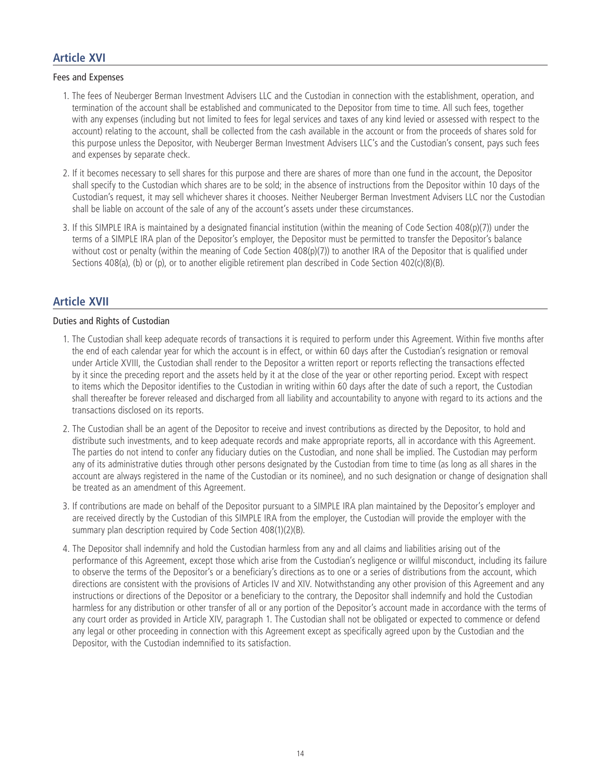## **Article XVI**

#### Fees and Expenses

- 1. The fees of Neuberger Berman Investment Advisers LLC and the Custodian in connection with the establishment, operation, and termination of the account shall be established and communicated to the Depositor from time to time. All such fees, together with any expenses (including but not limited to fees for legal services and taxes of any kind levied or assessed with respect to the account) relating to the account, shall be collected from the cash available in the account or from the proceeds of shares sold for this purpose unless the Depositor, with Neuberger Berman Investment Advisers LLC's and the Custodian's consent, pays such fees and expenses by separate check.
- 2. If it becomes necessary to sell shares for this purpose and there are shares of more than one fund in the account, the Depositor shall specify to the Custodian which shares are to be sold; in the absence of instructions from the Depositor within 10 days of the Custodian's request, it may sell whichever shares it chooses. Neither Neuberger Berman Investment Advisers LLC nor the Custodian shall be liable on account of the sale of any of the account's assets under these circumstances.
- 3. If this SIMPLE IRA is maintained by a designated financial institution (within the meaning of Code Section 408(p)(7)) under the terms of a SIMPLE IRA plan of the Depositor's employer, the Depositor must be permitted to transfer the Depositor's balance without cost or penalty (within the meaning of Code Section 408(p)(7)) to another IRA of the Depositor that is qualified under Sections 408(a), (b) or (p), or to another eligible retirement plan described in Code Section 402(c)(8)(B).

## **Article XVII**

## Duties and Rights of Custodian

- 1. The Custodian shall keep adequate records of transactions it is required to perform under this Agreement. Within five months after the end of each calendar year for which the account is in effect, or within 60 days after the Custodian's resignation or removal under Article XVIII, the Custodian shall render to the Depositor a written report or reports reflecting the transactions effected by it since the preceding report and the assets held by it at the close of the year or other reporting period. Except with respect to items which the Depositor identifies to the Custodian in writing within 60 days after the date of such a report, the Custodian shall thereafter be forever released and discharged from all liability and accountability to anyone with regard to its actions and the transactions disclosed on its reports.
- 2. The Custodian shall be an agent of the Depositor to receive and invest contributions as directed by the Depositor, to hold and distribute such investments, and to keep adequate records and make appropriate reports, all in accordance with this Agreement. The parties do not intend to confer any fiduciary duties on the Custodian, and none shall be implied. The Custodian may perform any of its administrative duties through other persons designated by the Custodian from time to time (as long as all shares in the account are always registered in the name of the Custodian or its nominee), and no such designation or change of designation shall be treated as an amendment of this Agreement.
- 3. If contributions are made on behalf of the Depositor pursuant to a SIMPLE IRA plan maintained by the Depositor's employer and are received directly by the Custodian of this SIMPLE IRA from the employer, the Custodian will provide the employer with the summary plan description required by Code Section 408(1)(2)(B).
- 4. The Depositor shall indemnify and hold the Custodian harmless from any and all claims and liabilities arising out of the performance of this Agreement, except those which arise from the Custodian's negligence or willful misconduct, including its failure to observe the terms of the Depositor's or a beneficiary's directions as to one or a series of distributions from the account, which directions are consistent with the provisions of Articles IV and XIV. Notwithstanding any other provision of this Agreement and any instructions or directions of the Depositor or a beneficiary to the contrary, the Depositor shall indemnify and hold the Custodian harmless for any distribution or other transfer of all or any portion of the Depositor's account made in accordance with the terms of any court order as provided in Article XIV, paragraph 1. The Custodian shall not be obligated or expected to commence or defend any legal or other proceeding in connection with this Agreement except as specifically agreed upon by the Custodian and the Depositor, with the Custodian indemnified to its satisfaction.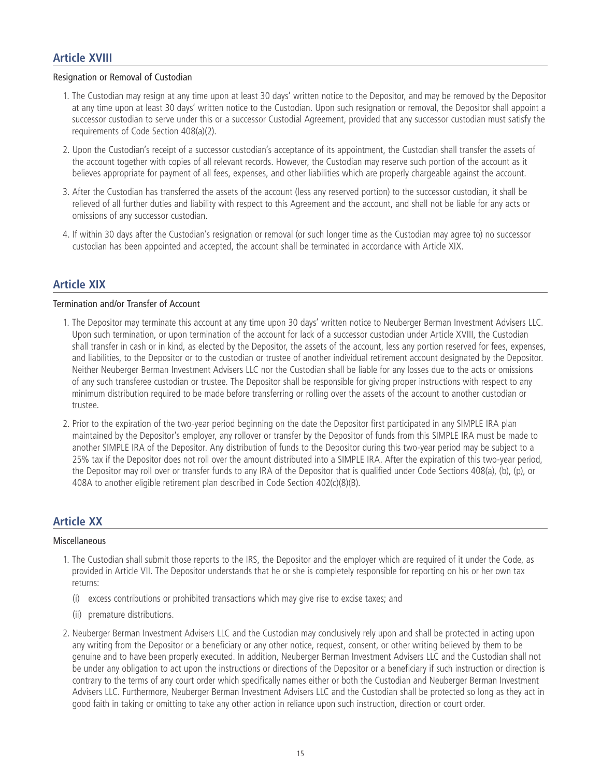## **Article XVIII**

#### Resignation or Removal of Custodian

- 1. The Custodian may resign at any time upon at least 30 days' written notice to the Depositor, and may be removed by the Depositor at any time upon at least 30 days' written notice to the Custodian. Upon such resignation or removal, the Depositor shall appoint a successor custodian to serve under this or a successor Custodial Agreement, provided that any successor custodian must satisfy the requirements of Code Section 408(a)(2).
- 2. Upon the Custodian's receipt of a successor custodian's acceptance of its appointment, the Custodian shall transfer the assets of the account together with copies of all relevant records. However, the Custodian may reserve such portion of the account as it believes appropriate for payment of all fees, expenses, and other liabilities which are properly chargeable against the account.
- 3. After the Custodian has transferred the assets of the account (less any reserved portion) to the successor custodian, it shall be relieved of all further duties and liability with respect to this Agreement and the account, and shall not be liable for any acts or omissions of any successor custodian.
- 4. If within 30 days after the Custodian's resignation or removal (or such longer time as the Custodian may agree to) no successor custodian has been appointed and accepted, the account shall be terminated in accordance with Article XIX.

## **Article XIX**

#### Termination and/or Transfer of Account

- 1. The Depositor may terminate this account at any time upon 30 days' written notice to Neuberger Berman Investment Advisers LLC. Upon such termination, or upon termination of the account for lack of a successor custodian under Article XVIII, the Custodian shall transfer in cash or in kind, as elected by the Depositor, the assets of the account, less any portion reserved for fees, expenses, and liabilities, to the Depositor or to the custodian or trustee of another individual retirement account designated by the Depositor. Neither Neuberger Berman Investment Advisers LLC nor the Custodian shall be liable for any losses due to the acts or omissions of any such transferee custodian or trustee. The Depositor shall be responsible for giving proper instructions with respect to any minimum distribution required to be made before transferring or rolling over the assets of the account to another custodian or trustee.
- 2. Prior to the expiration of the two-year period beginning on the date the Depositor first participated in any SIMPLE IRA plan maintained by the Depositor's employer, any rollover or transfer by the Depositor of funds from this SIMPLE IRA must be made to another SIMPLE IRA of the Depositor. Any distribution of funds to the Depositor during this two-year period may be subject to a 25% tax if the Depositor does not roll over the amount distributed into a SIMPLE IRA. After the expiration of this two-year period, the Depositor may roll over or transfer funds to any IRA of the Depositor that is qualified under Code Sections 408(a), (b), (p), or 408A to another eligible retirement plan described in Code Section 402(c)(8)(B).

## **Article XX**

#### Miscellaneous

- 1. The Custodian shall submit those reports to the IRS, the Depositor and the employer which are required of it under the Code, as provided in Article VII. The Depositor understands that he or she is completely responsible for reporting on his or her own tax returns:
	- (i) excess contributions or prohibited transactions which may give rise to excise taxes; and
	- (ii) premature distributions.
- 2. Neuberger Berman Investment Advisers LLC and the Custodian may conclusively rely upon and shall be protected in acting upon any writing from the Depositor or a beneficiary or any other notice, request, consent, or other writing believed by them to be genuine and to have been properly executed. In addition, Neuberger Berman Investment Advisers LLC and the Custodian shall not be under any obligation to act upon the instructions or directions of the Depositor or a beneficiary if such instruction or direction is contrary to the terms of any court order which specifically names either or both the Custodian and Neuberger Berman Investment Advisers LLC. Furthermore, Neuberger Berman Investment Advisers LLC and the Custodian shall be protected so long as they act in good faith in taking or omitting to take any other action in reliance upon such instruction, direction or court order.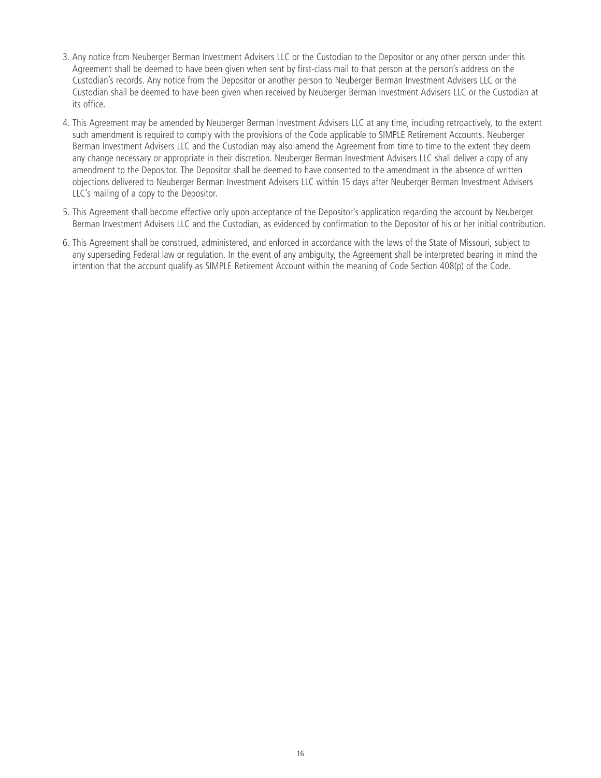- 3. Any notice from Neuberger Berman Investment Advisers LLC or the Custodian to the Depositor or any other person under this Agreement shall be deemed to have been given when sent by first-class mail to that person at the person's address on the Custodian's records. Any notice from the Depositor or another person to Neuberger Berman Investment Advisers LLC or the Custodian shall be deemed to have been given when received by Neuberger Berman Investment Advisers LLC or the Custodian at its office.
- 4. This Agreement may be amended by Neuberger Berman Investment Advisers LLC at any time, including retroactively, to the extent such amendment is required to comply with the provisions of the Code applicable to SIMPLE Retirement Accounts. Neuberger Berman Investment Advisers LLC and the Custodian may also amend the Agreement from time to time to the extent they deem any change necessary or appropriate in their discretion. Neuberger Berman Investment Advisers LLC shall deliver a copy of any amendment to the Depositor. The Depositor shall be deemed to have consented to the amendment in the absence of written objections delivered to Neuberger Berman Investment Advisers LLC within 15 days after Neuberger Berman Investment Advisers LLC's mailing of a copy to the Depositor.
- 5. This Agreement shall become effective only upon acceptance of the Depositor's application regarding the account by Neuberger Berman Investment Advisers LLC and the Custodian, as evidenced by confirmation to the Depositor of his or her initial contribution.
- 6. This Agreement shall be construed, administered, and enforced in accordance with the laws of the State of Missouri, subject to any superseding Federal law or regulation. In the event of any ambiguity, the Agreement shall be interpreted bearing in mind the intention that the account qualify as SIMPLE Retirement Account within the meaning of Code Section 408(p) of the Code.